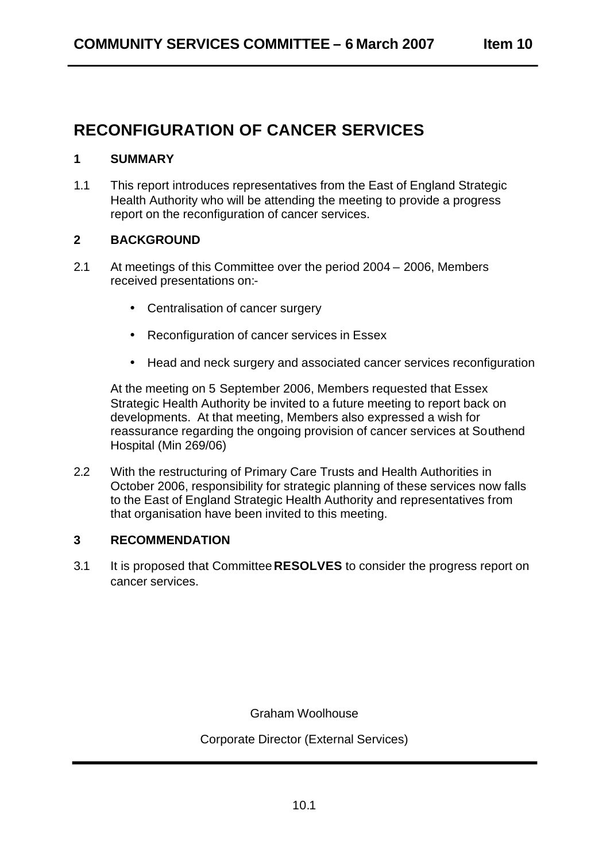# **RECONFIGURATION OF CANCER SERVICES**

## **1 SUMMARY**

1.1 This report introduces representatives from the East of England Strategic Health Authority who will be attending the meeting to provide a progress report on the reconfiguration of cancer services.

# **2 BACKGROUND**

- 2.1 At meetings of this Committee over the period 2004 2006, Members received presentations on:-
	- Centralisation of cancer surgery
	- Reconfiguration of cancer services in Essex
	- Head and neck surgery and associated cancer services reconfiguration

At the meeting on 5 September 2006, Members requested that Essex Strategic Health Authority be invited to a future meeting to report back on developments. At that meeting, Members also expressed a wish for reassurance regarding the ongoing provision of cancer services at Southend Hospital (Min 269/06)

2.2 With the restructuring of Primary Care Trusts and Health Authorities in October 2006, responsibility for strategic planning of these services now falls to the East of England Strategic Health Authority and representatives from that organisation have been invited to this meeting.

#### **3 RECOMMENDATION**

3.1 It is proposed that Committee **RESOLVES** to consider the progress report on cancer services.

Graham Woolhouse

Corporate Director (External Services)